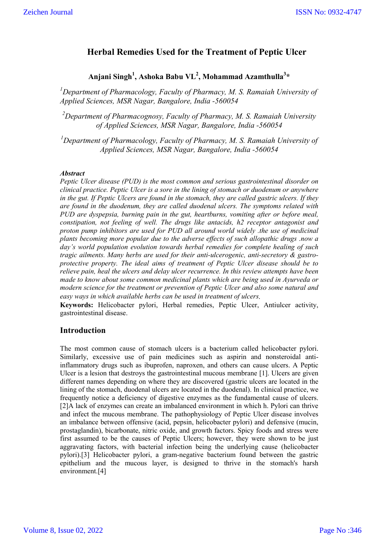# **Herbal Remedies Used for the Treatment of Peptic Ulcer**

# **Anjani Singh<sup>1</sup> , Ashoka Babu VL2 , Mohammad Azamthulla<sup>3</sup> \***

<sup>1</sup>Department of Pharmacology, Faculty of Pharmacy, M. S. Ramaiah University of *Applied Sciences, MSR Nagar, Bangalore, India -560054*

*2 Department of Pharmacognosy, Faculty of Pharmacy, M. S. Ramaiah University of Applied Sciences, MSR Nagar, Bangalore, India -560054*

<sup>1</sup>Department of Pharmacology, Faculty of Pharmacy, M. S. Ramaiah University of *Applied Sciences, MSR Nagar, Bangalore, India -560054*

## *Abstract*

*Peptic Ulcer disease (PUD) is the most common and serious gastrointestinal disorder on clinical practice. Peptic Ulcer is a sore in the lining of stomach or duodenum or anywhere in the gut. If Peptic Ulcers are found in the stomach, they are called gastric ulcers. If they are found in the duodenum, they are called duodenal ulcers. The symptoms related with PUD are dyspepsia, burning pain in the gut, heartburns, vomiting after or before meal, constipation, not feeling of well. The drugs like antacids, h2 receptor antagonist and proton pump inhibitors are used for PUD all around world widely .the use of medicinal plants becoming more popular due to the adverse effects of such allopathic drugs .now a day's world population evolution towards herbal remedies for complete healing of such tragic ailments. Many herbs are used for their anti-ulcerogenic, anti-secretory & gastroprotective property. The ideal aims of treatment of Peptic Ulcer disease should be to relieve pain, heal the ulcers and delay ulcer recurrence. In this review attempts have been made to know about some common medicinal plants which are being used in Ayurveda or modern science for the treatment or prevention of Peptic Ulcer and also some natural and easy ways in which available herbs can be used in treatment of ulcers.*

**Keywords:** Helicobacter pylori, Herbal remedies, Peptic Ulcer, Antiulcer activity, gastrointestinal disease.

# **Introduction**

The most common cause of stomach ulcers is a bacterium called helicobacter pylori. Similarly, excessive use of pain medicines such as aspirin and nonsteroidal antiinflammatory drugs such as ibuprofen, naproxen, and others can cause ulcers. A Peptic Ulcer is a lesion that destroys the gastrointestinal mucous membrane [1]. Ulcers are given different names depending on where they are discovered (gastric ulcers are located in the lining of the stomach, duodenal ulcers are located in the duodenal). In clinical practice, we frequently notice a deficiency of digestive enzymes as the fundamental cause of ulcers. [2]A lack of enzymes can create an imbalanced environment in which h. Pylori can thrive and infect the mucous membrane. The pathophysiology of Peptic Ulcer disease involves an imbalance between offensive (acid, pepsin, helicobacter pylori) and defensive (mucin, prostaglandin), bicarbonate, nitric oxide, and growth factors. Spicy foods and stress were first assumed to be the causes of Peptic Ulcers; however, they were shown to be just aggravating factors, with bacterial infection being the underlying cause (helicobacter pylori).[3] Helicobacter pylori, a gram-negative bacterium found between the gastric epithelium and the mucous layer, is designed to thrive in the stomach's harsh environment.[4]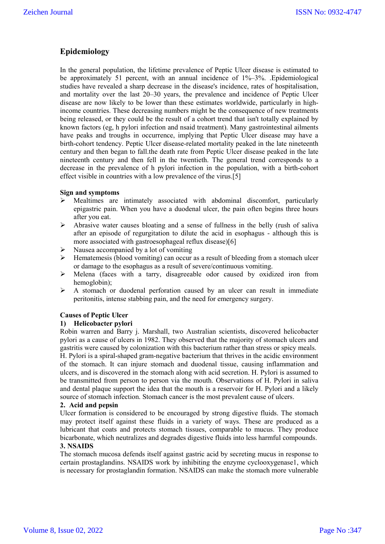# **Epidemiology**

In the general population, the lifetime prevalence of Peptic Ulcer disease is estimated to be approximately 51 percent, with an annual incidence of 1%–3%. .Epidemiological studies have revealed a sharp decrease in the disease's incidence, rates of hospitalisation, and mortality over the last 20–30 years, the prevalence and incidence of Peptic Ulcer disease are now likely to be lower than these estimates worldwide, particularly in highincome countries. These decreasing numbers might be the consequence of new treatments being released, or they could be the result of a cohort trend that isn't totally explained by known factors (eg, h pylori infection and nsaid treatment). Many gastrointestinal ailments have peaks and troughs in occurrence, implying that Peptic Ulcer disease may have a birth-cohort tendency. Peptic Ulcer disease-related mortality peaked in the late nineteenth century and then began to fall.the death rate from Peptic Ulcer disease peaked in the late nineteenth century and then fell in the twentieth. The general trend corresponds to a decrease in the prevalence of h pylori infection in the population, with a birth-cohort effect visible in countries with a low prevalence of the virus.[5]

# **Sign and symptoms**

- $\triangleright$  Mealtimes are intimately associated with abdominal discomfort, particularly epigastric pain. When you have a duodenal ulcer, the pain often begins three hours after you eat.
- $\triangleright$  Abrasive water causes bloating and a sense of fullness in the belly (rush of saliva after an episode of regurgitation to dilute the acid in esophagus - although this is more associated with gastroesophageal reflux disease)[6]
- Nausea accompanied by a lot of vomiting
- $\triangleright$  Hematemesis (blood vomiting) can occur as a result of bleeding from a stomach ulcer or damage to the esophagus as a result of severe/continuous vomiting.
- Melena (faces with a tarry, disagreeable odor caused by oxidized iron from hemoglobin);
- $\triangleright$  A stomach or duodenal perforation caused by an ulcer can result in immediate peritonitis, intense stabbing pain, and the need for emergency surgery.

# **Causes of Peptic Ulcer**

# **1) Helicobacter pylori**

Robin warren and Barry j. Marshall, two Australian scientists, discovered helicobacter pylori as a cause of ulcers in 1982. They observed that the majority of stomach ulcers and gastritis were caused by colonization with this bacterium rather than stress or spicy meals. H. Pylori is a spiral-shaped gram-negative bacterium that thrives in the acidic environment of the stomach. It can injure stomach and duodenal tissue, causing inflammation and ulcers, and is discovered in the stomach along with acid secretion. H. Pylori is assumed to be transmitted from person to person via the mouth. Observations of H. Pylori in saliva and dental plaque support the idea that the mouth is a reservoir for H. Pylori and a likely source of stomach infection. Stomach cancer is the most prevalent cause of ulcers.

# **2. Acid and pepsin**

Ulcer formation is considered to be encouraged by strong digestive fluids. The stomach may protect itself against these fluids in a variety of ways. These are produced as a lubricant that coats and protects stomach tissues, comparable to mucus. They produce bicarbonate, which neutralizes and degrades digestive fluids into less harmful compounds.

# **3. NSAIDS**

The stomach mucosa defends itself against gastric acid by secreting mucus in response to certain prostaglandins. NSAIDS work by inhibiting the enzyme cyclooxygenase1, which is necessary for prostaglandin formation. NSAIDS can make the stomach more vulnerable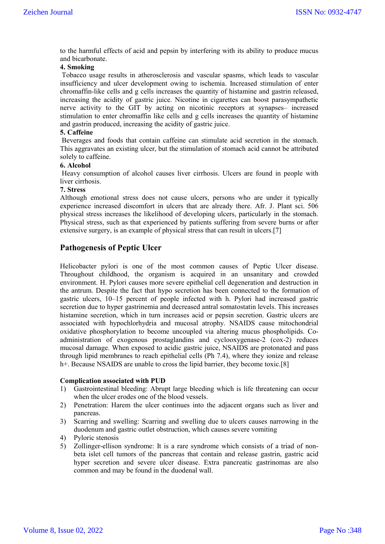to the harmful effects of acid and pepsin by interfering with its ability to produce mucus and bicarbonate.

# **4. Smoking**

Tobacco usage results in atherosclerosis and vascular spasms, which leads to vascular insufficiency and ulcer development owing to ischemia. Increased stimulation of enter chromaffin-like cells and g cells increases the quantity of histamine and gastrin released, increasing the acidity of gastric juice. Nicotine in cigarettes can boost parasympathetic nerve activity to the GIT by acting on nicotinic receptors at synapses– increased stimulation to enter chromaffin like cells and g cells increases the quantity of histamine and gastrin produced, increasing the acidity of gastric juice.

## **5. Caffeine**

Beverages and foods that contain caffeine can stimulate acid secretion in the stomach. This aggravates an existing ulcer, but the stimulation of stomach acid cannot be attributed solely to caffeine.

#### **6. Alcohol**

Heavy consumption of alcohol causes liver cirrhosis. Ulcers are found in people with liver cirrhosis.

## **7. Stress**

Although emotional stress does not cause ulcers, persons who are under it typically experience increased discomfort in ulcers that are already there. Afr. J. Plant sci. 506 physical stress increases the likelihood of developing ulcers, particularly in the stomach. Physical stress, such as that experienced by patients suffering from severe burns or after extensive surgery, is an example of physical stress that can result in ulcers.[7]

# **Pathogenesis of Peptic Ulcer**

Helicobacter pylori is one of the most common causes of Peptic Ulcer disease. Throughout childhood, the organism is acquired in an unsanitary and crowded environment. H. Pylori causes more severe epithelial cell degeneration and destruction in the antrum. Despite the fact that hypo secretion has been connected to the formation of gastric ulcers, 10–15 percent of people infected with h. Pylori had increased gastric secretion due to hyper gastrinemia and decreased antral somatostatin levels. This increases histamine secretion, which in turn increases acid or pepsin secretion. Gastric ulcers are associated with hypochlorhydria and mucosal atrophy. NSAIDS cause mitochondrial oxidative phosphorylation to become uncoupled via altering mucus phospholipids. Coadministration of exogenous prostaglandins and cyclooxygenase-2 (cox-2) reduces mucosal damage. When exposed to acidic gastric juice, NSAIDS are protonated and pass through lipid membranes to reach epithelial cells (Ph 7.4), where they ionize and release h<sup>+</sup>. Because NSAIDS are unable to cross the lipid barrier, they become toxic.<sup>[8]</sup>

#### **Complication associated with PUD**

- 1) Gastrointestinal bleeding: Abrupt large bleeding which is life threatening can occur when the ulcer erodes one of the blood vessels.
- 2) Penetration: Harem the ulcer continues into the adjacent organs such as liver and pancreas.
- 3) Scarring and swelling: Scarring and swelling due to ulcers causes narrowing in the duodenum and gastric outlet obstruction, which causes severe vomiting
- 4) Pyloric stenosis
- 5) Zollinger-ellison syndrome: It is a rare syndrome which consists of a triad of nonbeta islet cell tumors of the pancreas that contain and release gastrin, gastric acid hyper secretion and severe ulcer disease. Extra pancreatic gastrinomas are also common and may be found in the duodenal wall.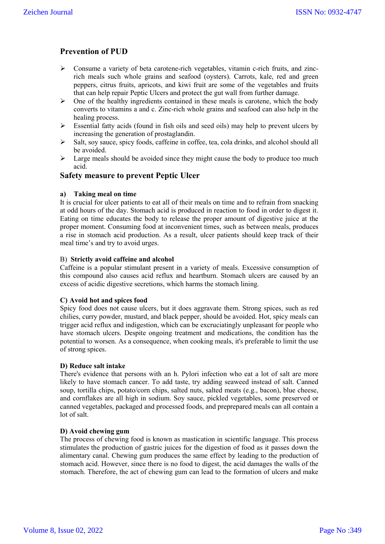# **Prevention of PUD**

- $\triangleright$  Consume a variety of beta carotene-rich vegetables, vitamin c-rich fruits, and zincrich meals such whole grains and seafood (oysters). Carrots, kale, red and green peppers, citrus fruits, apricots, and kiwi fruit are some of the vegetables and fruits that can help repair Peptic Ulcers and protect the gut wall from further damage.
- $\triangleright$  One of the healthy ingredients contained in these meals is carotene, which the body converts to vitamins a and c. Zinc-rich whole grains and seafood can also help in the healing process.
- $\triangleright$  Essential fatty acids (found in fish oils and seed oils) may help to prevent ulcers by increasing the generation of prostaglandin.
- $\triangleright$  Salt, soy sauce, spicy foods, caffeine in coffee, tea, cola drinks, and alcohol should all be avoided.
- $\triangleright$  Large meals should be avoided since they might cause the body to produce too much acid.

# **Safety measure to prevent Peptic Ulcer**

## **a) Taking meal on time**

It is crucial for ulcer patients to eat all of their meals on time and to refrain from snacking at odd hours of the day. Stomach acid is produced in reaction to food in order to digest it. Eating on time educates the body to release the proper amount of digestive juice at the proper moment. Consuming food at inconvenient times, such as between meals, produces a rise in stomach acid production. As a result, ulcer patients should keep track of their meal time's and try to avoid urges.

## B) **Strictly avoid caffeine and alcohol**

Caffeine is a popular stimulant present in a variety of meals. Excessive consumption of this compound also causes acid reflux and heartburn. Stomach ulcers are caused by an excess of acidic digestive secretions, which harms the stomach lining.

#### **C) Avoid hot and spices food**

Spicy food does not cause ulcers, but it does aggravate them. Strong spices, such as red chilies, curry powder, mustard, and black pepper, should be avoided. Hot, spicy meals can trigger acid reflux and indigestion, which can be excruciatingly unpleasant for people who have stomach ulcers. Despite ongoing treatment and medications, the condition has the potential to worsen. As a consequence, when cooking meals, it's preferable to limit the use of strong spices.

# **D) Reduce salt intake**

There's evidence that persons with an h. Pylori infection who eat a lot of salt are more likely to have stomach cancer. To add taste, try adding seaweed instead of salt. Canned soup, tortilla chips, potato/corn chips, salted nuts, salted meats (e.g., bacon), blue cheese, and cornflakes are all high in sodium. Soy sauce, pickled vegetables, some preserved or canned vegetables, packaged and processed foods, and preprepared meals can all contain a lot of salt.

# **D) Avoid chewing gum**

The process of chewing food is known as mastication in scientific language. This process stimulates the production of gastric juices for the digestion of food as it passes down the alimentary canal. Chewing gum produces the same effect by leading to the production of stomach acid. However, since there is no food to digest, the acid damages the walls of the stomach. Therefore, the act of chewing gum can lead to the formation of ulcers and make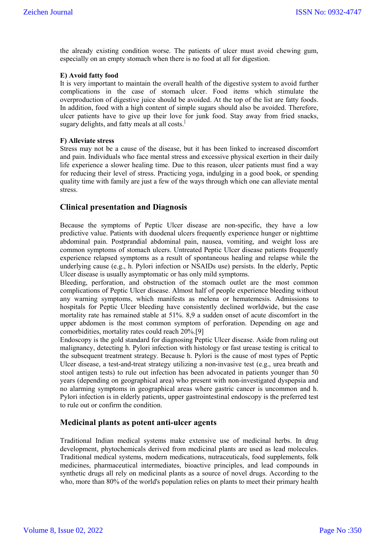the already existing condition worse. The patients of ulcer must avoid chewing gum, especially on an empty stomach when there is no food at all for digestion.

## **E) Avoid fatty food**

It is very important to maintain the overall health of the digestive system to avoid further complications in the case of stomach ulcer. Food items which stimulate the overproduction of digestive juice should be avoided. At the top of the list are fatty foods. In addition, food with a high content of simple sugars should also be avoided. Therefore, ulcer patients have to give up their love for junk food. Stay away from fried snacks, sugary delights, and fatty meals at all costs.<sup>1</sup>

## **F) Alleviate stress**

Stress may not be a cause of the disease, but it has been linked to increased discomfort and pain. Individuals who face mental stress and excessive physical exertion in their daily life experience a slower healing time. Due to this reason, ulcer patients must find a way for reducing their level of stress. Practicing yoga, indulging in a good book, or spending quality time with family are just a few of the ways through which one can alleviate mental stress.

# **Clinical presentation and Diagnosis**

Because the symptoms of Peptic Ulcer disease are non-specific, they have a low predictive value. Patients with duodenal ulcers frequently experience hunger or nighttime abdominal pain. Postprandial abdominal pain, nausea, vomiting, and weight loss are common symptoms of stomach ulcers. Untreated Peptic Ulcer disease patients frequently experience relapsed symptoms as a result of spontaneous healing and relapse while the underlying cause (e.g., h. Pylori infection or NSAIDs use) persists. In the elderly, Peptic Ulcer disease is usually asymptomatic or has only mild symptoms.

Bleeding, perforation, and obstruction of the stomach outlet are the most common complications of Peptic Ulcer disease. Almost half of people experience bleeding without any warning symptoms, which manifests as melena or hematemesis. Admissions to hospitals for Peptic Ulcer bleeding have consistently declined worldwide, but the case mortality rate has remained stable at 51%. 8,9 a sudden onset of acute discomfort in the upper abdomen is the most common symptom of perforation. Depending on age and comorbidities, mortality rates could reach 20%.[9]

Endoscopy is the gold standard for diagnosing Peptic Ulcer disease. Aside from ruling out malignancy, detecting h. Pylori infection with histology or fast urease testing is critical to the subsequent treatment strategy. Because h. Pylori is the cause of most types of Peptic Ulcer disease, a test-and-treat strategy utilizing a non-invasive test (e.g., urea breath and stool antigen tests) to rule out infection has been advocated in patients younger than 50 years (depending on geographical area) who present with non-investigated dyspepsia and no alarming symptoms in geographical areas where gastric cancer is uncommon and h. Pylori infection is in elderly patients, upper gastrointestinal endoscopy is the preferred test to rule out or confirm the condition.

# **Medicinal plants as potent anti-ulcer agents**

Traditional Indian medical systems make extensive use of medicinal herbs. In drug development, phytochemicals derived from medicinal plants are used as lead molecules. Traditional medical systems, modern medications, nutraceuticals, food supplements, folk medicines, pharmaceutical intermediates, bioactive principles, and lead compounds in synthetic drugs all rely on medicinal plants as a source of novel drugs. According to the who, more than 80% of the world's population relies on plants to meet their primary health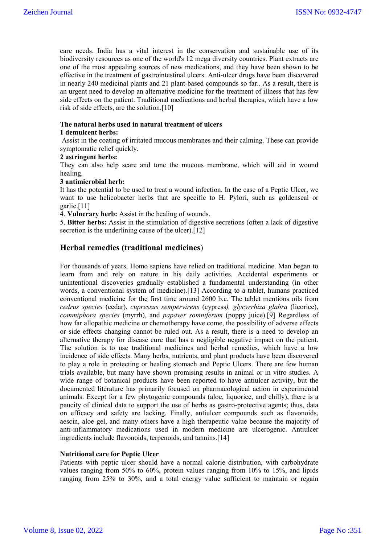care needs. India has a vital interest in the conservation and sustainable use of its biodiversity resources as one of the world's 12 mega diversity countries. Plant extracts are one of the most appealing sources of new medications, and they have been shown to be effective in the treatment of gastrointestinal ulcers. Anti-ulcer drugs have been discovered in nearly 240 medicinal plants and 21 plant-based compounds so far.. As a result, there is an urgent need to develop an alternative medicine for the treatment of illness that has few side effects on the patient. Traditional medications and herbal therapies, which have a low risk of side effects, are the solution.[10]

# **The natural herbs used in natural treatment of ulcers**

# **1 demulcent herbs:**

Assist in the coating of irritated mucous membranes and their calming. These can provide symptomatic relief quickly.

## **2 astringent herbs:**

They can also help scare and tone the mucous membrane, which will aid in wound healing.

## **3 antimicrobial herb:**

It has the potential to be used to treat a wound infection. In the case of a Peptic Ulcer, we want to use helicobacter herbs that are specific to H. Pylori, such as goldenseal or garlic.[11]

4. **Vulnerary herb:** Assist in the healing of wounds.

5. **Bitter herbs:** Assist in the stimulation of digestive secretions (often a lack of digestive secretion is the underlining cause of the ulcer).[12]

# **Herbal remedies (traditional medicines**)

For thousands of years, Homo sapiens have relied on traditional medicine. Man began to learn from and rely on nature in his daily activities. Accidental experiments or unintentional discoveries gradually established a fundamental understanding (in other words, a conventional system of medicine).[13] According to a tablet, humans practiced conventional medicine for the first time around 2600 b.c. The tablet mentions oils from *cedrus species* (cedar), *cupressus sempervirens* (cypress*), glycyrrhiza glabra* (licorice), *commiphora species* (myrrh), and *papaver somniferum* (poppy juice).[9] Regardless of how far allopathic medicine or chemotherapy have come, the possibility of adverse effects or side effects changing cannot be ruled out. As a result, there is a need to develop an alternative therapy for disease cure that has a negligible negative impact on the patient. The solution is to use traditional medicines and herbal remedies, which have a low incidence of side effects. Many herbs, nutrients, and plant products have been discovered to play a role in protecting or healing stomach and Peptic Ulcers. There are few human trials available, but many have shown promising results in animal or in vitro studies. A wide range of botanical products have been reported to have antiulcer activity, but the documented literature has primarily focused on pharmacological action in experimental animals. Except for a few phytogenic compounds (aloe, liquorice, and chilly), there is a paucity of clinical data to support the use of herbs as gastro-protective agents; thus, data on efficacy and safety are lacking. Finally, antiulcer compounds such as flavonoids, aescin, aloe gel, and many others have a high therapeutic value because the majority of anti-inflammatory medications used in modern medicine are ulcerogenic. Antiulcer ingredients include flavonoids, terpenoids, and tannins.[14]

# **Nutritional care for Peptic Ulcer**

Patients with peptic ulcer should have a normal calorie distribution, with carbohydrate values ranging from 50% to 60%, protein values ranging from 10% to 15%, and lipids ranging from 25% to 30%, and a total energy value sufficient to maintain or regain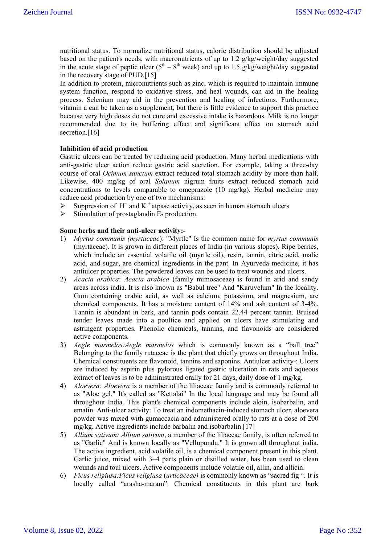nutritional status. To normalize nutritional status, calorie distribution should be adjusted based on the patient's needs, with macronutrients of up to 1.2 g/kg/weight/day suggested in the acute stage of peptic ulcer ( $5<sup>th</sup> - 8<sup>th</sup>$  week) and up to 1.5 g/kg/weight/day suggested in the recovery stage of PUD.[15]

In addition to protein, micronutrients such as zinc, which is required to maintain immune system function, respond to oxidative stress, and heal wounds, can aid in the healing process. Selenium may aid in the prevention and healing of infections. Furthermore, vitamin a can be taken as a supplement, but there is little evidence to support this practice because very high doses do not cure and excessive intake is hazardous. Milk is no longer recommended due to its buffering effect and significant effect on stomach acid secretion.<sup>[16]</sup>

## **Inhibition of acid production**

Gastric ulcers can be treated by reducing acid production. Many herbal medications with anti-gastric ulcer action reduce gastric acid secretion. For example, taking a three-day course of oral *Ocimum sanctum* extract reduced total stomach acidity by more than half. Likewise, 400 mg/kg of oral *Solanum* nigrum fruits extract reduced stomach acid concentrations to levels comparable to omeprazole (10 mg/kg). Herbal medicine may reduce acid production by one of two mechanisms:

- Suppression of H<sup>+</sup> and K<sup>+</sup> atpase activity, as seen in human stomach ulcers
- $\triangleright$  Stimulation of prostaglandin E<sub>2</sub> production.

# **Some herbs and their anti-ulcer activity:-**

- 1) *Myrtus communis (myrtaceae*): "Myrtle" Is the common name for *myrtus communis* (myrtaceae). It is grown in different places of India (in various slopes). Ripe berries, which include an essential volatile oil (myrtle oil), resin, tannin, citric acid, malic acid, and sugar, are chemical ingredients in the pant. In Ayurveda medicine, it has antiulcer properties. The powdered leaves can be used to treat wounds and ulcers.
- 2) *Acacia arabica*: *Acacia arabica* (family mimosaceae) is found in arid and sandy areas across india. It is also known as "Babul tree" And "Karuvelum" In the locality. Gum containing arabic acid, as well as calcium, potassium, and magnesium, are chemical components. It has a moisture content of 14% and ash content of 3-4%. Tannin is abundant in bark, and tannin pods contain 22.44 percent tannin. Bruised tender leaves made into a poultice and applied on ulcers have stimulating and astringent properties. Phenolic chemicals, tannins, and flavonoids are considered active components.
- 3) *Aegle marmelos:Aegle marmelos* which is commonly known as a "ball tree" Belonging to the family rutaceae is the plant that chiefly grows on throughout India. Chemical constituents are flavonoid, tannins and saponins. Antiulcer activity-: Ulcers are induced by aspirin plus pylorous ligated gastric ulceration in rats and aqueous extract of leaves is to be administrated orally for 21 days, daily dose of 1 mg/kg.
- 4) *Aloevera: Aloevera* is a member of the liliaceae family and is commonly referred to as "Aloe gel." It's called as "Kettalai" In the local language and may be found all throughout India. This plant's chemical components include aloin, isobarbalin, and ematin. Anti-ulcer activity: To treat an indomethacin-induced stomach ulcer, aloevera powder was mixed with gumaccacia and administered orally to rats at a dose of 200 mg/kg. Active ingredients include barbalin and isobarbalin.[17]
- 5) *Allium sativum: Allium sativum*, a member of the liliaceae family, is often referred to as "Garlic" And is known locally as "Vellupundu." It is grown all throughout india. The active ingredient, acid volatile oil, is a chemical component present in this plant. Garlic juice, mixed with 3–4 parts plain or distilled water, has been used to clean wounds and toul ulcers. Active components include volatile oil, allin, and allicin.
- 6) *Ficus religiusa:Ficus religiusa* (*urticaceae)* is commonly known as "sacred fig ". It is locally called "arasha-maram". Chemical constituents in this plant are bark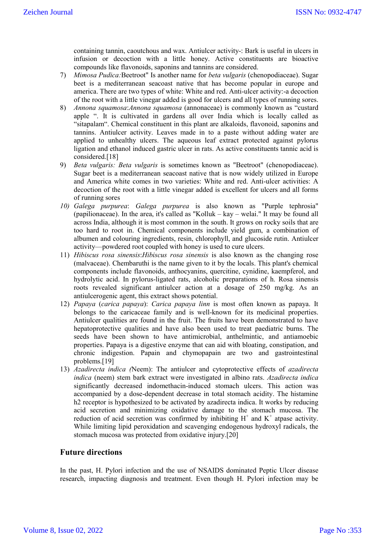containing tannin, caoutchous and wax. Antiulcer activity-: Bark is useful in ulcers in infusion or decoction with a little honey. Active constituents are bioactive compounds like flavonoids, saponins and tannins are considered.

- 7) *Mimosa Pudica:*Beetroot" Is another name for *beta vulgaris* (chenopodiaceae). Sugar beet is a mediterranean seacoast native that has become popular in europe and america. There are two types of white: White and red. Anti-ulcer activity:-a decoction of the root with a little vinegar added is good for ulcers and all types of running sores.
- 8) *Annona squamosa*:*Annona squamosa* (annonaceae) is commonly known as "custard apple ". It is cultivated in gardens all over India which is locally called as "sitapalam". Chemical constituent in this plant are alkaloids, flavonoid, saponins and tannins. Antiulcer activity. Leaves made in to a paste without adding water are applied to unhealthy ulcers. The aqueous leaf extract protected against pylorus ligation and ethanol induced gastric ulcer in rats. As active constituents tannic acid is considered.[18]
- 9) *Beta vulgaris: Beta vulgaris* is sometimes known as "Beetroot" (chenopodiaceae). Sugar beet is a mediterranean seacoast native that is now widely utilized in Europe and America white comes in two varieties: White and red. Anti-ulcer activities: A decoction of the root with a little vinegar added is excellent for ulcers and all forms of running sores
- *10) Galega purpurea*: *Galega purpurea* is also known as "Purple tephrosia" (papilionaceae). In the area, it's called as "Kolluk – kay – welai." It may be found all across India, although it is most common in the south. It grows on rocky soils that are too hard to root in. Chemical components include yield gum, a combination of albumen and colouring ingredients, resin, chlorophyll, and glucoside rutin. Antiulcer activity—powdered root coupled with honey is used to cure ulcers.
- 11) *Hibiscus rosa sinensis*:*Hibiscus rosa sinensis* is also known as the changing rose (malvaceae). Chembaruthi is the name given to it by the locals. This plant's chemical components include flavonoids, anthocyanins, quercitine, cynidine, kaempferol, and hydrolytic acid. In pylorus-ligated rats, alcoholic preparations of h. Rosa sinensis roots revealed significant antiulcer action at a dosage of 250 mg/kg. As an antiulcerogenic agent, this extract shows potential.
- 12) *Papaya* (*carica papaya*): *Carica papaya linn* is most often known as papaya. It belongs to the caricaceae family and is well-known for its medicinal properties. Antiulcer qualities are found in the fruit. The fruits have been demonstrated to have hepatoprotective qualities and have also been used to treat paediatric burns. The seeds have been shown to have antimicrobial, anthelmintic, and antiamoebic properties. Papaya is a digestive enzyme that can aid with bloating, constipation, and chronic indigestion. Papain and chymopapain are two and gastrointestinal problems.[19]
- 13) *Azadirecta indica (*Neem): The antiulcer and cytoprotective effects of *azadirecta indica* (neem) stem bark extract were investigated in albino rats. *Azadirecta indica* significantly decreased indomethacin-induced stomach ulcers. This action was accompanied by a dose-dependent decrease in total stomach acidity. The histamine h2 receptor is hypothesized to be activated by azadirecta indica. It works by reducing acid secretion and minimizing oxidative damage to the stomach mucosa. The reduction of acid secretion was confirmed by inhibiting  $H^+$  and  $K^+$  atpase activity. While limiting lipid peroxidation and scavenging endogenous hydroxyl radicals, the stomach mucosa was protected from oxidative injury.[20]

# **Future directions**

In the past, H. Pylori infection and the use of NSAIDS dominated Peptic Ulcer disease research, impacting diagnosis and treatment. Even though H. Pylori infection may be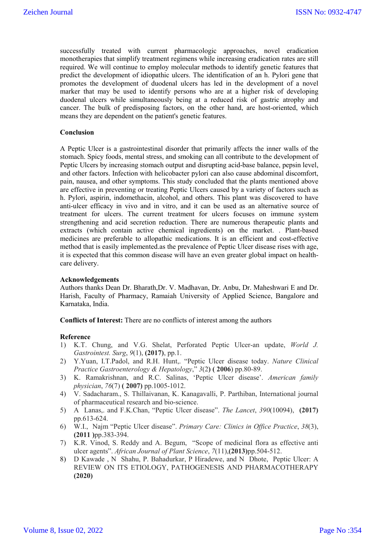successfully treated with current pharmacologic approaches, novel eradication monotherapies that simplify treatment regimens while increasing eradication rates are still required. We will continue to employ molecular methods to identify genetic features that predict the development of idiopathic ulcers. The identification of an h. Pylori gene that promotes the development of duodenal ulcers has led in the development of a novel marker that may be used to identify persons who are at a higher risk of developing duodenal ulcers while simultaneously being at a reduced risk of gastric atrophy and cancer. The bulk of predisposing factors, on the other hand, are host-oriented, which means they are dependent on the patient's genetic features.

## **Conclusion**

A Peptic Ulcer is a gastrointestinal disorder that primarily affects the inner walls of the stomach. Spicy foods, mental stress, and smoking can all contribute to the development of Peptic Ulcers by increasing stomach output and disrupting acid-base balance, pepsin level, and other factors. Infection with helicobacter pylori can also cause abdominal discomfort, pain, nausea, and other symptoms. This study concluded that the plants mentioned above are effective in preventing or treating Peptic Ulcers caused by a variety of factors such as h. Pylori, aspirin, indomethacin, alcohol, and others. This plant was discovered to have anti-ulcer efficacy in vivo and in vitro, and it can be used as an alternative source of treatment for ulcers. The current treatment for ulcers focuses on immune system strengthening and acid secretion reduction. There are numerous therapeutic plants and extracts (which contain active chemical ingredients) on the market. . Plant-based medicines are preferable to allopathic medications. It is an efficient and cost-effective method that is easily implemented.as the prevalence of Peptic Ulcer disease rises with age, it is expected that this common disease will have an even greater global impact on healthcare delivery.

## **Acknowledgements**

Authors thanks Dean Dr. Bharath,Dr. V. Madhavan, Dr. Anbu, Dr. Maheshwari E and Dr. Harish, Faculty of Pharmacy, Ramaiah University of Applied Science, Bangalore and Karnataka, India.

**Conflicts of Interest:** There are no conflicts of interest among the authors

#### **Reference**

- 1) K.T. Chung, and V.G. Shelat, Perforated Peptic Ulcer-an update, *World J. Gastrointest. Surg*, *9*(1), **(2017)**, pp.1.
- 2) Y.Yuan, I.T.Padol, and R.H. Hunt,. "Peptic Ulcer disease today. *Nature Clinical Practice Gastroenterology & Hepatology*," *3*(2**) ( 2006**) pp.80-89.
- 3) K. Ramakrishnan, and R.C. Salinas, 'Peptic Ulcer disease'. *American family physician*, *76*(7) **( 2007)** pp.1005-1012.
- 4) V. Sadacharam., S. Thillaivanan, K. Kanagavalli, P. Parthiban, International journal of pharmaceutical research and bio-science.
- 5) A Lanas,. and F.K.Chan, "Peptic Ulcer disease". *The Lancet*, *390*(10094), **(2017)** pp.613-624.
- 6) W.I., Najm "Peptic Ulcer disease". *Primary Care: Clinics in Office Practice*, *38*(3), **(2011 )**pp.383-394.
- 7) K.R. Vinod, S. Reddy and A. Begum, "Scope of medicinal flora as effective anti ulcer agents". *African Journal of Plant Science*, *7*(11),**(2013)**pp.504-512.
- 8) D Kawade , N Shahu, P. Bahadurkar, P Hiradewe, and N Dhote, Peptic Ulcer: A REVIEW ON ITS ETIOLOGY, PATHOGENESIS AND PHARMACOTHERAPY **(2020)**